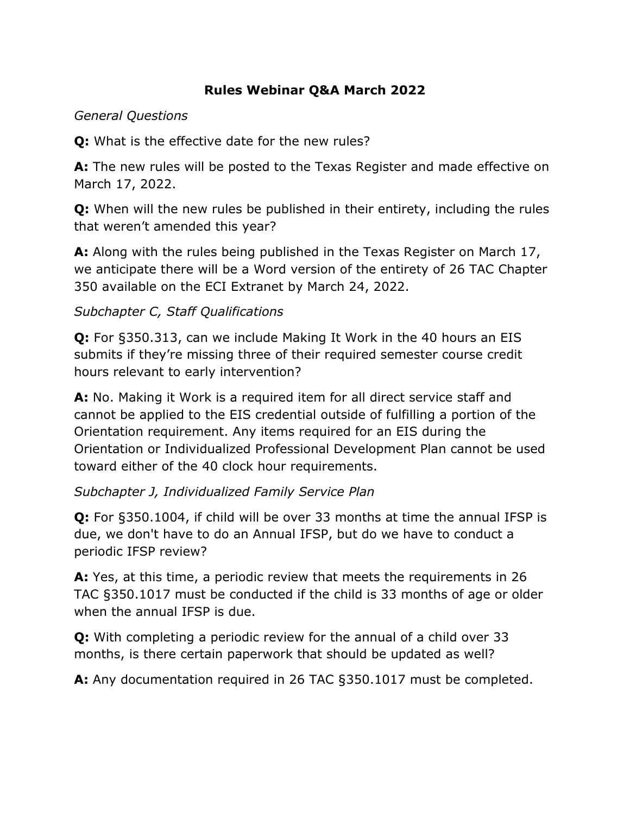## **Rules Webinar Q&A March 2022**

## *General Questions*

**Q:** What is the effective date for the new rules?

**A:** The new rules will be posted to the Texas Register and made effective on March 17, 2022.

**Q:** When will the new rules be published in their entirety, including the rules that weren't amended this year?

**A:** Along with the rules being published in the Texas Register on March 17, we anticipate there will be a Word version of the entirety of 26 TAC Chapter 350 available on the ECI Extranet by March 24, 2022.

## *Subchapter C, Staff Qualifications*

**Q:** For §350.313, can we include Making It Work in the 40 hours an EIS submits if they're missing three of their required semester course credit hours relevant to early intervention?

**A:** No. Making it Work is a required item for all direct service staff and cannot be applied to the EIS credential outside of fulfilling a portion of the Orientation requirement. Any items required for an EIS during the Orientation or Individualized Professional Development Plan cannot be used toward either of the 40 clock hour requirements.

## *Subchapter J, Individualized Family Service Plan*

**Q:** For §350.1004, if child will be over 33 months at time the annual IFSP is due, we don't have to do an Annual IFSP, but do we have to conduct a periodic IFSP review?

**A:** Yes, at this time, a periodic review that meets the requirements in 26 TAC §350.1017 must be conducted if the child is 33 months of age or older when the annual IFSP is due.

**Q:** With completing a periodic review for the annual of a child over 33 months, is there certain paperwork that should be updated as well?

**A:** Any documentation required in 26 TAC §350.1017 must be completed.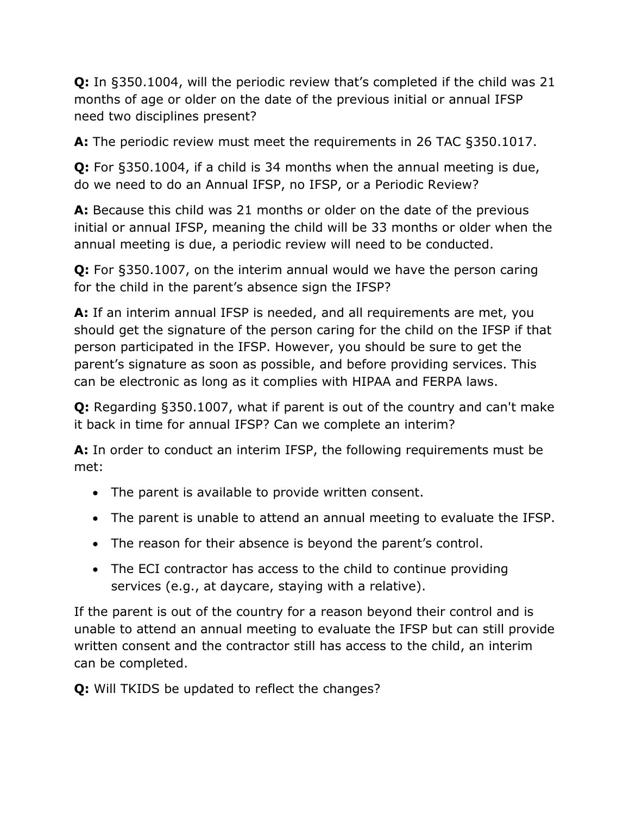**Q:** In §350.1004, will the periodic review that's completed if the child was 21 months of age or older on the date of the previous initial or annual IFSP need two disciplines present?

**A:** The periodic review must meet the requirements in 26 TAC §350.1017.

**Q:** For §350.1004, if a child is 34 months when the annual meeting is due, do we need to do an Annual IFSP, no IFSP, or a Periodic Review?

**A:** Because this child was 21 months or older on the date of the previous initial or annual IFSP, meaning the child will be 33 months or older when the annual meeting is due, a periodic review will need to be conducted.

**Q:** For §350.1007, on the interim annual would we have the person caring for the child in the parent's absence sign the IFSP?

**A:** If an interim annual IFSP is needed, and all requirements are met, you should get the signature of the person caring for the child on the IFSP if that person participated in the IFSP. However, you should be sure to get the parent's signature as soon as possible, and before providing services. This can be electronic as long as it complies with HIPAA and FERPA laws.

**Q:** Regarding §350.1007, what if parent is out of the country and can't make it back in time for annual IFSP? Can we complete an interim?

**A:** In order to conduct an interim IFSP, the following requirements must be met:

- The parent is available to provide written consent.
- The parent is unable to attend an annual meeting to evaluate the IFSP.
- The reason for their absence is beyond the parent's control.
- The ECI contractor has access to the child to continue providing services (e.g., at daycare, staying with a relative).

If the parent is out of the country for a reason beyond their control and is unable to attend an annual meeting to evaluate the IFSP but can still provide written consent and the contractor still has access to the child, an interim can be completed.

**Q:** Will TKIDS be updated to reflect the changes?